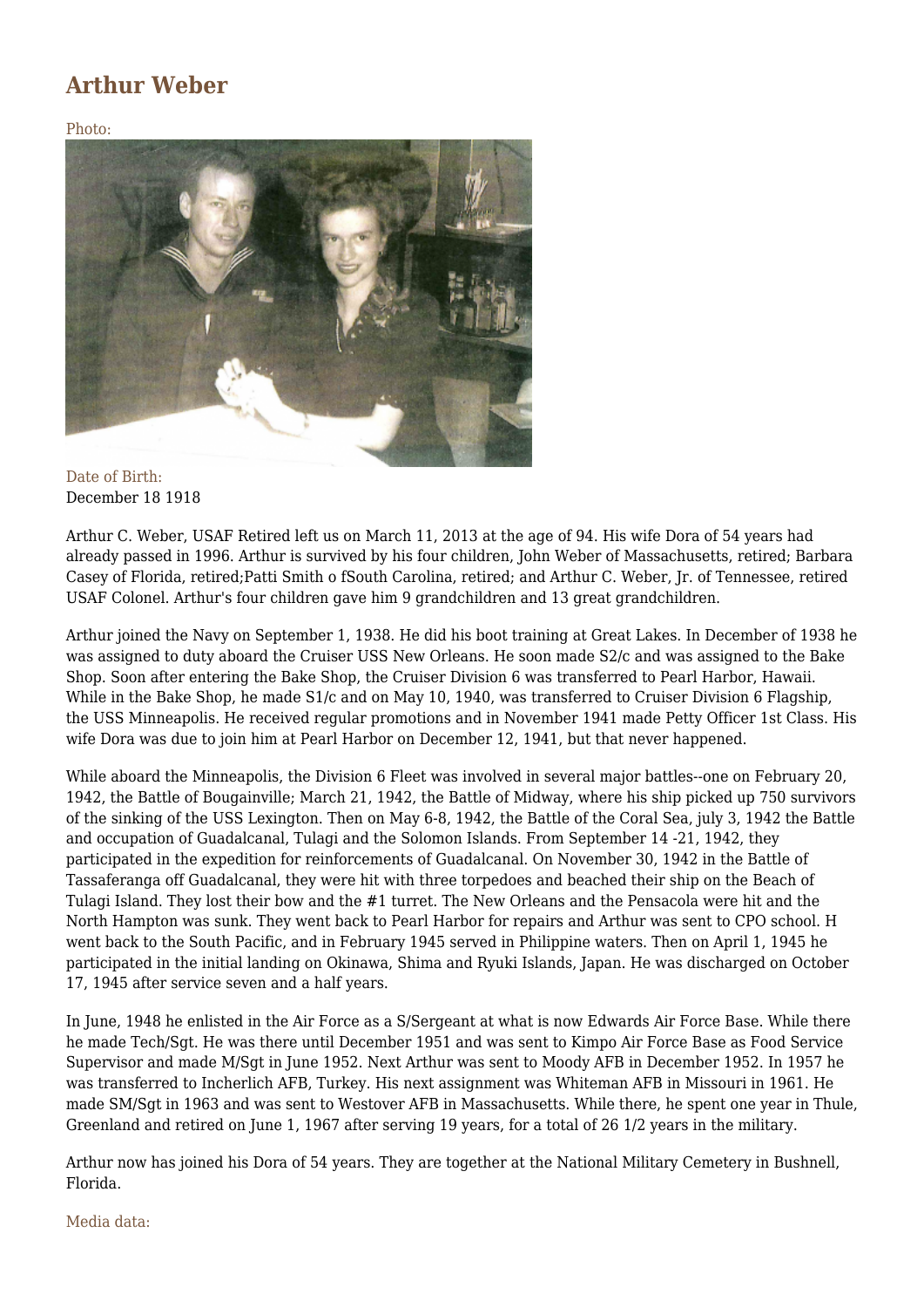## **Arthur Weber**

Photo:



Date of Birth: December 18 1918

Arthur C. Weber, USAF Retired left us on March 11, 2013 at the age of 94. His wife Dora of 54 years had already passed in 1996. Arthur is survived by his four children, John Weber of Massachusetts, retired; Barbara Casey of Florida, retired;Patti Smith o fSouth Carolina, retired; and Arthur C. Weber, Jr. of Tennessee, retired USAF Colonel. Arthur's four children gave him 9 grandchildren and 13 great grandchildren.

Arthur joined the Navy on September 1, 1938. He did his boot training at Great Lakes. In December of 1938 he was assigned to duty aboard the Cruiser USS New Orleans. He soon made S2/c and was assigned to the Bake Shop. Soon after entering the Bake Shop, the Cruiser Division 6 was transferred to Pearl Harbor, Hawaii. While in the Bake Shop, he made S1/c and on May 10, 1940, was transferred to Cruiser Division 6 Flagship, the USS Minneapolis. He received regular promotions and in November 1941 made Petty Officer 1st Class. His wife Dora was due to join him at Pearl Harbor on December 12, 1941, but that never happened.

While aboard the Minneapolis, the Division 6 Fleet was involved in several major battles--one on February 20, 1942, the Battle of Bougainville; March 21, 1942, the Battle of Midway, where his ship picked up 750 survivors of the sinking of the USS Lexington. Then on May 6-8, 1942, the Battle of the Coral Sea, july 3, 1942 the Battle and occupation of Guadalcanal, Tulagi and the Solomon Islands. From September 14 -21, 1942, they participated in the expedition for reinforcements of Guadalcanal. On November 30, 1942 in the Battle of Tassaferanga off Guadalcanal, they were hit with three torpedoes and beached their ship on the Beach of Tulagi Island. They lost their bow and the #1 turret. The New Orleans and the Pensacola were hit and the North Hampton was sunk. They went back to Pearl Harbor for repairs and Arthur was sent to CPO school. H went back to the South Pacific, and in February 1945 served in Philippine waters. Then on April 1, 1945 he participated in the initial landing on Okinawa, Shima and Ryuki Islands, Japan. He was discharged on October 17, 1945 after service seven and a half years.

In June, 1948 he enlisted in the Air Force as a S/Sergeant at what is now Edwards Air Force Base. While there he made Tech/Sgt. He was there until December 1951 and was sent to Kimpo Air Force Base as Food Service Supervisor and made M/Sgt in June 1952. Next Arthur was sent to Moody AFB in December 1952. In 1957 he was transferred to Incherlich AFB, Turkey. His next assignment was Whiteman AFB in Missouri in 1961. He made SM/Sgt in 1963 and was sent to Westover AFB in Massachusetts. While there, he spent one year in Thule, Greenland and retired on June 1, 1967 after serving 19 years, for a total of 26 1/2 years in the military.

Arthur now has joined his Dora of 54 years. They are together at the National Military Cemetery in Bushnell, Florida.

Media data: